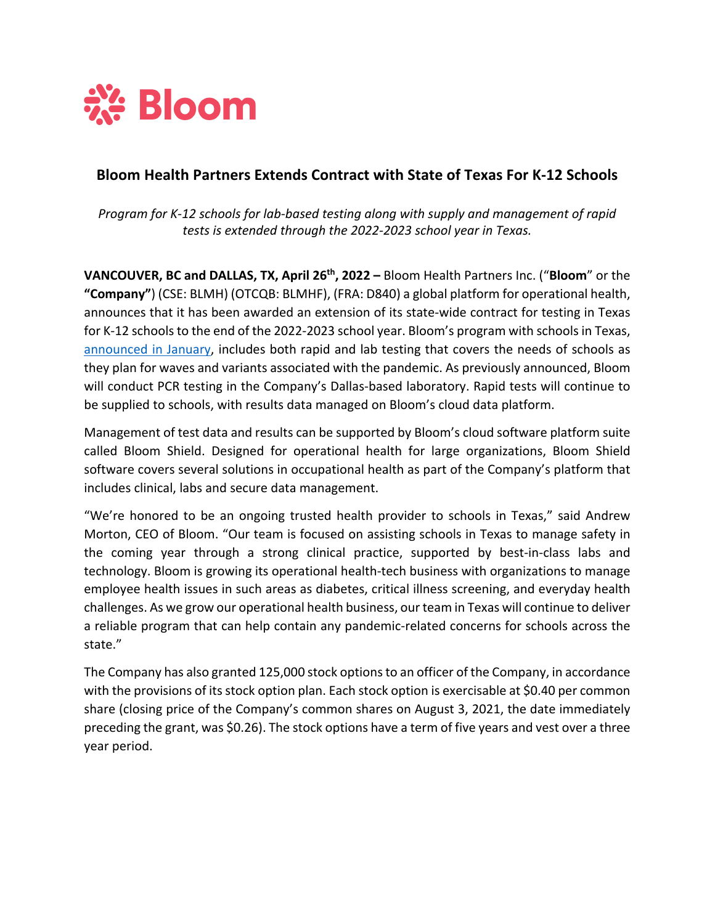

# **Bloom Health Partners Extends Contract with State of Texas For K-12 Schools**

*Program for K-12 schools for lab-based testing along with supply and management of rapid tests is extended through the 2022-2023 school year in Texas.*

**VANCOUVER, BC and DALLAS, TX, April 26th, 2022 –** Bloom Health Partners Inc. ("**Bloom**" or the **"Company"**) (CSE: BLMH) (OTCQB: BLMHF), (FRA: D840) a global platform for operational health, announces that it has been awarded an extension of its state-wide contract for testing in Texas for K-12 schools to the end of the 2022-2023 school year. Bloom's program with schools in Texas, announced in January, includes both rapid and lab testing that covers the needs of schools as they plan for waves and variants associated with the pandemic. As previously announced, Bloom will conduct PCR testing in the Company's Dallas-based laboratory. Rapid tests will continue to be supplied to schools, with results data managed on Bloom's cloud data platform.

Management of test data and results can be supported by Bloom's cloud software platform suite called Bloom Shield. Designed for operational health for large organizations, Bloom Shield software covers several solutions in occupational health as part of the Company's platform that includes clinical, labs and secure data management.

"We're honored to be an ongoing trusted health provider to schools in Texas," said Andrew Morton, CEO of Bloom. "Our team is focused on assisting schools in Texas to manage safety in the coming year through a strong clinical practice, supported by best-in-class labs and technology. Bloom is growing its operational health-tech business with organizations to manage employee health issues in such areas as diabetes, critical illness screening, and everyday health challenges. As we grow our operational health business, our team in Texas will continue to deliver a reliable program that can help contain any pandemic-related concerns for schools across the state."

The Company has also granted 125,000 stock options to an officer of the Company, in accordance with the provisions of its stock option plan. Each stock option is exercisable at \$0.40 per common share (closing price of the Company's common shares on August 3, 2021, the date immediately preceding the grant, was \$0.26). The stock options have a term of five years and vest over a three year period.